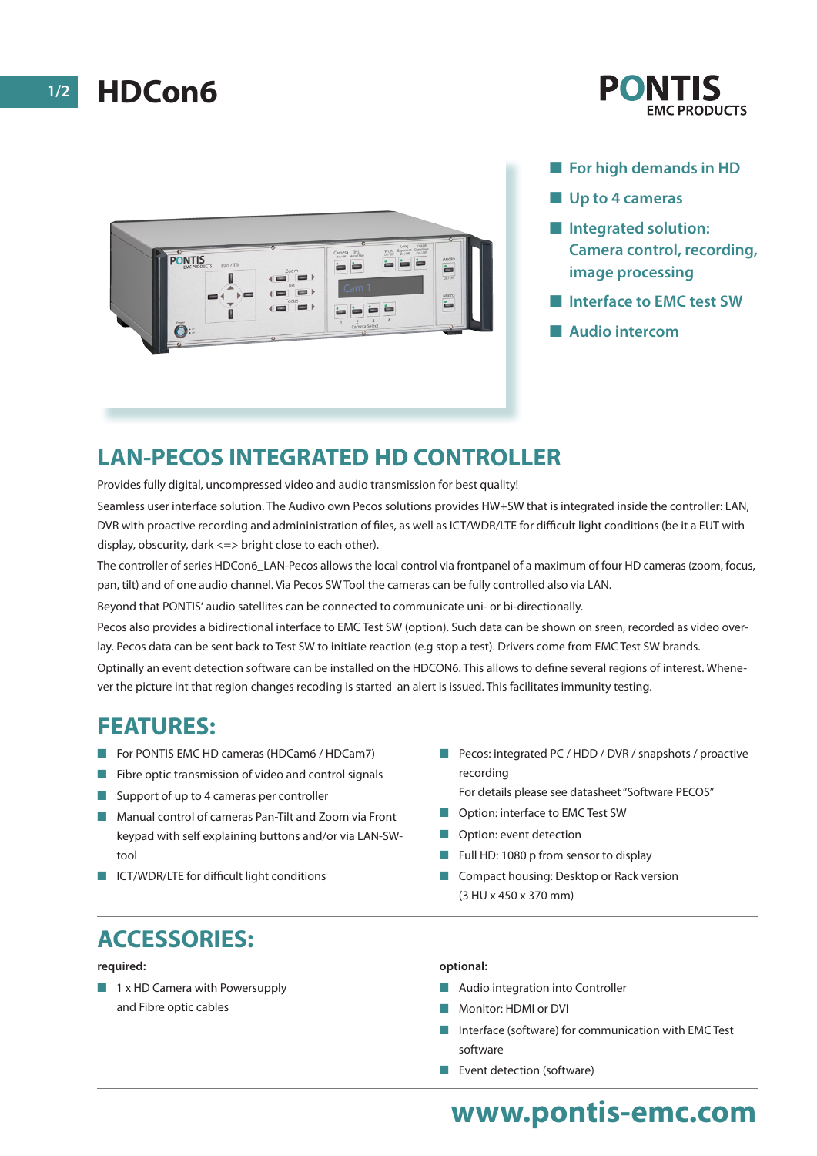

- **n** For high demands in HD
- **N** Up to 4 cameras
- $\blacksquare$  Integrated solution: **Camera control, recording, image processing**
- **No Interface to FMC test SW**
- n **Audio intercom**

## **LAN-PECOS INTEGRATED HD CONTROLLER**

Provides fully digital, uncompressed video and audio transmission for best quality!

Seamless user interface solution. The Audivo own Pecos solutions provides HW+SW that is integrated inside the controller: LAN, DVR with proactive recording and admininistration of files, as well as ICT/WDR/LTE for difficult light conditions (be it a EUT with display, obscurity, dark <=> bright close to each other).

The controller of series HDCon6\_LAN-Pecos allows the local control via frontpanel of a maximum of four HD cameras (zoom, focus, pan, tilt) and of one audio channel. Via Pecos SW Tool the cameras can be fully controlled also via LAN.

Beyond that PONTIS' audio satellites can be connected to communicate uni- or bi-directionally.

Pecos also provides a bidirectional interface to EMC Test SW (option). Such data can be shown on sreen, recorded as video overlay. Pecos data can be sent back to Test SW to initiate reaction (e.g stop a test). Drivers come from EMC Test SW brands.

Optinally an event detection software can be installed on the HDCON6. This allows to define several regions of interest. Whenever the picture int that region changes recoding is started an alert is issued. This facilitates immunity testing.

## **FEATURES:**

- For PONTIS EMC HD cameras (HDCam6 / HDCam7)
- $\blacksquare$  Fibre optic transmission of video and control signals
- Support of up to 4 cameras per controller
- n Manual control of cameras Pan-Tilt and Zoom via Front keypad with self explaining buttons and/or via LAN-SWtool
- ICT/WDR/LTE for difficult light conditions
- Pecos: integrated PC / HDD / DVR / snapshots / proactive recording
	- For details please see datasheet "Software PECOS"
- Option: interface to EMC Test SW
- Option: event detection
- Full HD: 1080 p from sensor to display
- **n** Compact housing: Desktop or Rack version (3 HU x 450 x 370 mm)

# **ACCESSORIES:**

#### **required:**

 $\blacksquare$  1 x HD Camera with Powersupply and Fibre optic cables

#### **optional:**

- **n** Audio integration into Controller
- Monitor: HDMI or DVI
- n Interface (software) for communication with EMC Test software
- $\blacksquare$  Event detection (software)

# **www.pontis-emc.com**